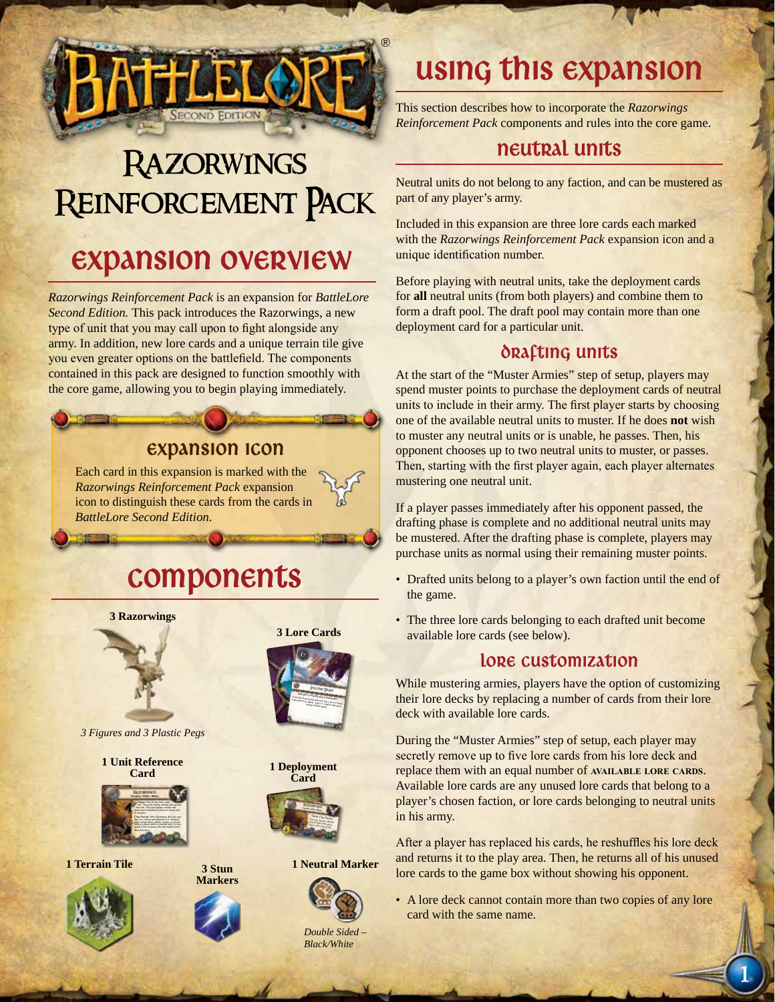

# **RAZORWINGS** Reinforcement Pack

### Expansion Overview

*Razorwings Reinforcement Pack* is an expansion for *BattleLore Second Edition.* This pack introduces the Razorwings, a new type of unit that you may call upon to fight alongside any army. In addition, new lore cards and a unique terrain tile give you even greater options on the battlefield. The components contained in this pack are designed to function smoothly with the core game, allowing you to begin playing immediately.

#### Expansion Icon

Each card in this expansion is marked with the *Razorwings Reinforcement Pack* expansion icon to distinguish these cards from the cards in *BattleLore Second Edition*.

### Components



*3 Figures and 3 Plastic Pegs*

**1 Unit Reference Card**



**1 Terrain Tile**







**3 Lore Cards**



**1 Deployment Card**



**1 Neutral Marker**



*Double Sided – Black/White*

## Using This expansion

This section describes how to incorporate the *Razorwings Reinforcement Pack* components and rules into the core game.

### neutral units

Neutral units do not belong to any faction, and can be mustered as part of any player's army.

Included in this expansion are three lore cards each marked with the *Razorwings Reinforcement Pack* expansion icon and a unique identification number.

Before playing with neutral units, take the deployment cards for **all** neutral units (from both players) and combine them to form a draft pool. The draft pool may contain more than one deployment card for a particular unit.

#### DRAFTING UNITS

At the start of the "Muster Armies" step of setup, players may spend muster points to purchase the deployment cards of neutral units to include in their army. The first player starts by choosing one of the available neutral units to muster. If he does **not** wish to muster any neutral units or is unable, he passes. Then, his opponent chooses up to two neutral units to muster, or passes. Then, starting with the first player again, each player alternates mustering one neutral unit.

If a player passes immediately after his opponent passed, the drafting phase is complete and no additional neutral units may be mustered. After the drafting phase is complete, players may purchase units as normal using their remaining muster points.

- Drafted units belong to a player's own faction until the end of the game.
- The three lore cards belonging to each drafted unit become available lore cards (see below).

#### LORE CUSTOMIZATION

While mustering armies, players have the option of customizing their lore decks by replacing a number of cards from their lore deck with available lore cards.

During the "Muster Armies" step of setup, each player may secretly remove up to five lore cards from his lore deck and replace them with an equal number of **AVAILABLE** LORE CARDS. Available lore cards are any unused lore cards that belong to a player's chosen faction, or lore cards belonging to neutral units in his army.

After a player has replaced his cards, he reshuffles his lore deck and returns it to the play area. Then, he returns all of his unused lore cards to the game box without showing his opponent.

• A lore deck cannot contain more than two copies of any lore card with the same name.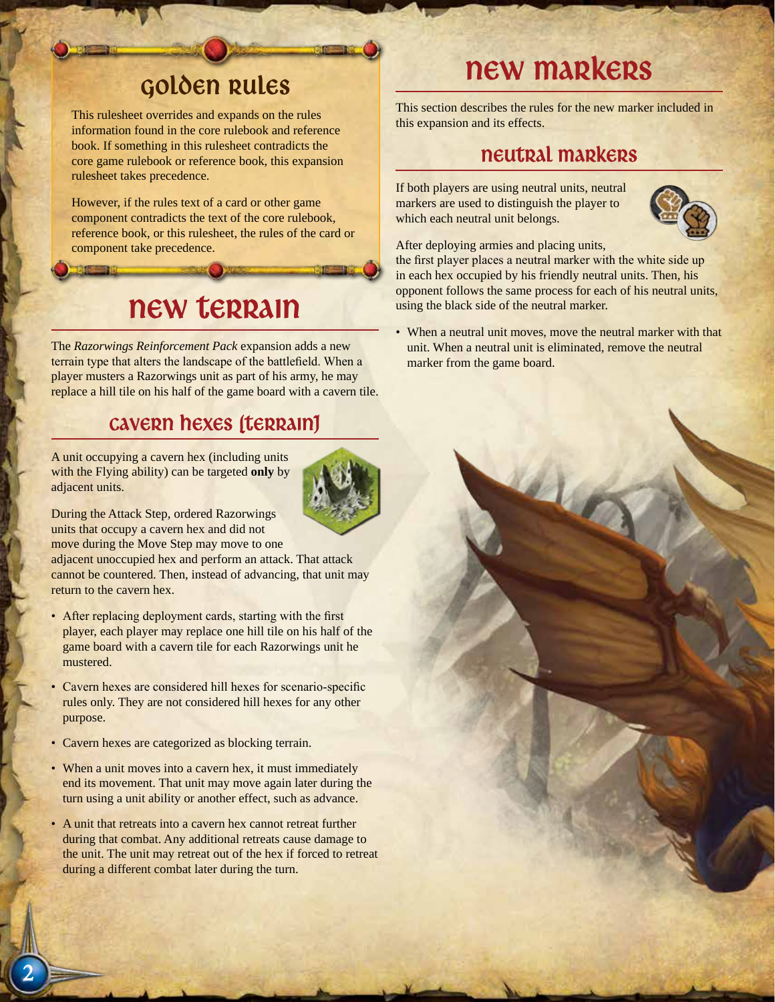### Golden Rules

This rulesheet overrides and expands on the rules information found in the core rulebook and reference book. If something in this rulesheet contradicts the core game rulebook or reference book, this expansion rulesheet takes precedence.

However, if the rules text of a card or other game component contradicts the text of the core rulebook, reference book, or this rulesheet, the rules of the card or component take precedence.

### new terrain

The *Razorwings Reinforcement Pack* expansion adds a new terrain type that alters the landscape of the battlefield. When a player musters a Razorwings unit as part of his army, he may replace a hill tile on his half of the game board with a cavern tile.

#### Cavern hexes (terrain)

A unit occupying a cavern hex (including units with the Flying ability) can be targeted **only** by adjacent units.



During the Attack Step, ordered Razorwings units that occupy a cavern hex and did not

move during the Move Step may move to one

adjacent unoccupied hex and perform an attack. That attack cannot be countered. Then, instead of advancing, that unit may return to the cavern hex.

- After replacing deployment cards, starting with the first player, each player may replace one hill tile on his half of the game board with a cavern tile for each Razorwings unit he mustered.
- Cavern hexes are considered hill hexes for scenario-specific rules only. They are not considered hill hexes for any other purpose.
- Cavern hexes are categorized as blocking terrain.
- When a unit moves into a cavern hex, it must immediately end its movement. That unit may move again later during the turn using a unit ability or another effect, such as advance.
- A unit that retreats into a cavern hex cannot retreat further during that combat. Any additional retreats cause damage to the unit. The unit may retreat out of the hex if forced to retreat during a different combat later during the turn.

## new markers

This section describes the rules for the new marker included in this expansion and its effects.

### neutral Markers

If both players are using neutral units, neutral markers are used to distinguish the player to which each neutral unit belongs.



After deploying armies and placing units, the first player places a neutral marker with the white side up

in each hex occupied by his friendly neutral units. Then, his opponent follows the same process for each of his neutral units, using the black side of the neutral marker.

When a neutral unit moves, move the neutral marker with that unit. When a neutral unit is eliminated, remove the neutral marker from the game board.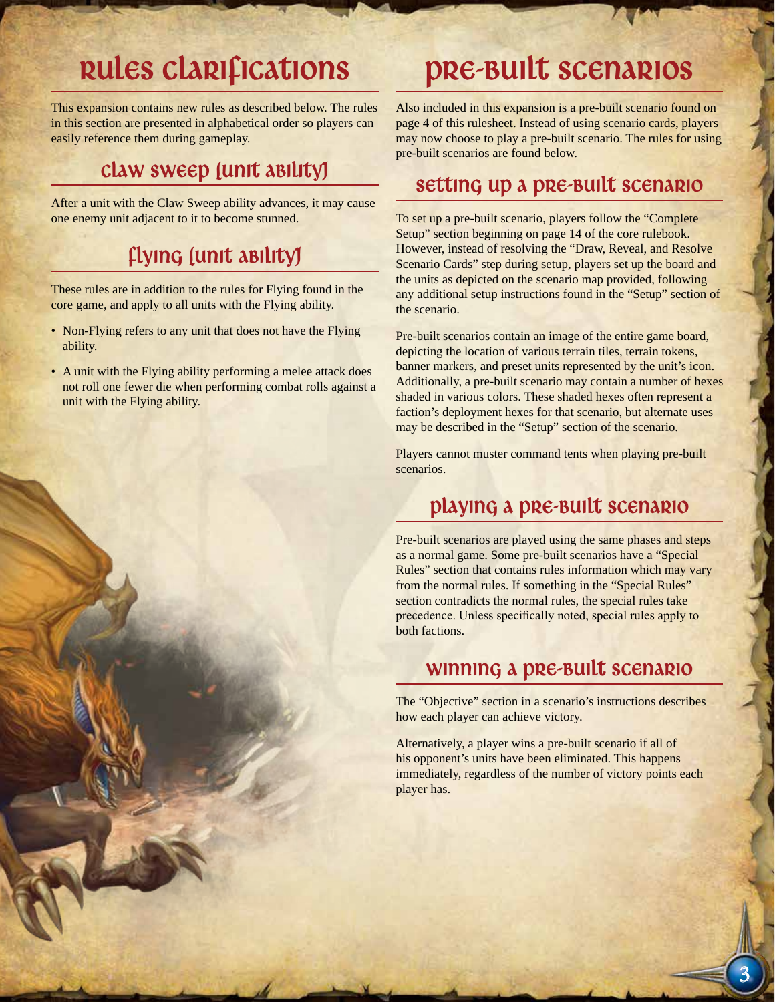### Rules Clarifications

This expansion contains new rules as described below. The rules in this section are presented in alphabetical order so players can easily reference them during gameplay.

### Claw Sweep (unit ability)

After a unit with the Claw Sweep ability advances, it may cause one enemy unit adjacent to it to become stunned.

### Flying (unit ability)

These rules are in addition to the rules for Flying found in the core game, and apply to all units with the Flying ability.

- Non-Flying refers to any unit that does not have the Flying ability.
- A unit with the Flying ability performing a melee attack does not roll one fewer die when performing combat rolls against a unit with the Flying ability.

### Pre-Built Scenarios

Also included in this expansion is a pre-built scenario found on page 4 of this rulesheet. Instead of using scenario cards, players may now choose to play a pre-built scenario. The rules for using pre-built scenarios are found below.

#### Setting up a pre-built scenario

To set up a pre-built scenario, players follow the "Complete Setup" section beginning on page 14 of the core rulebook. However, instead of resolving the "Draw, Reveal, and Resolve Scenario Cards" step during setup, players set up the board and the units as depicted on the scenario map provided, following any additional setup instructions found in the "Setup" section of the scenario.

Pre-built scenarios contain an image of the entire game board, depicting the location of various terrain tiles, terrain tokens, banner markers, and preset units represented by the unit's icon. Additionally, a pre-built scenario may contain a number of hexes shaded in various colors. These shaded hexes often represent a faction's deployment hexes for that scenario, but alternate uses may be described in the "Setup" section of the scenario.

Players cannot muster command tents when playing pre-built scenarios.

### Playing a pre-built scenario

Pre-built scenarios are played using the same phases and steps as a normal game. Some pre-built scenarios have a "Special Rules" section that contains rules information which may vary from the normal rules. If something in the "Special Rules" section contradicts the normal rules, the special rules take precedence. Unless specifically noted, special rules apply to both factions.

#### Winning a pre-built Scenario

The "Objective" section in a scenario's instructions describes how each player can achieve victory.

Alternatively, a player wins a pre-built scenario if all of his opponent's units have been eliminated. This happens immediately, regardless of the number of victory points each player has.